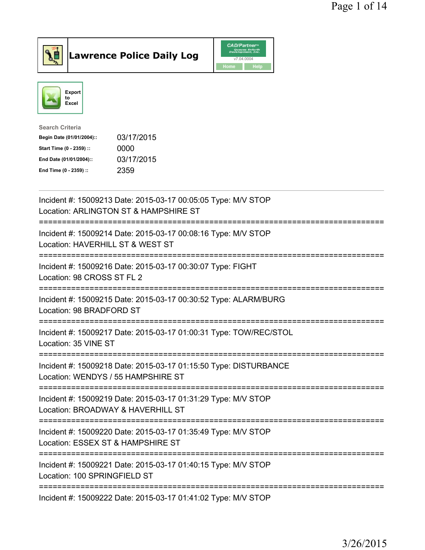

## Lawrence Police Daily Log

| <b>CAD/Partner</b> <sup>*</sup><br>Queues Enforth<br>Development, Inc. |      |  |
|------------------------------------------------------------------------|------|--|
| v7.04.0004                                                             |      |  |
| Home                                                                   | Help |  |



| Search Criteria           |            |
|---------------------------|------------|
| Begin Date (01/01/2004):: | 03/17/2015 |
| Start Time (0 - 2359) ::  | 0000       |
| End Date (01/01/2004)::   | 03/17/2015 |
| End Time (0 - 2359) ::    | 2359       |
|                           |            |

| Incident #: 15009213 Date: 2015-03-17 00:05:05 Type: M/V STOP<br>Location: ARLINGTON ST & HAMPSHIRE ST |
|--------------------------------------------------------------------------------------------------------|
| Incident #: 15009214 Date: 2015-03-17 00:08:16 Type: M/V STOP<br>Location: HAVERHILL ST & WEST ST      |
| Incident #: 15009216 Date: 2015-03-17 00:30:07 Type: FIGHT<br>Location: 98 CROSS ST FL 2               |
| Incident #: 15009215 Date: 2015-03-17 00:30:52 Type: ALARM/BURG<br>Location: 98 BRADFORD ST            |
| Incident #: 15009217 Date: 2015-03-17 01:00:31 Type: TOW/REC/STOL<br>Location: 35 VINE ST              |
| Incident #: 15009218 Date: 2015-03-17 01:15:50 Type: DISTURBANCE<br>Location: WENDYS / 55 HAMPSHIRE ST |
| Incident #: 15009219 Date: 2015-03-17 01:31:29 Type: M/V STOP<br>Location: BROADWAY & HAVERHILL ST     |
| Incident #: 15009220 Date: 2015-03-17 01:35:49 Type: M/V STOP<br>Location: ESSEX ST & HAMPSHIRE ST     |
| Incident #: 15009221 Date: 2015-03-17 01:40:15 Type: M/V STOP<br>Location: 100 SPRINGFIELD ST          |
| Incident #: 15009222 Date: 2015-03-17 01:41:02 Type: M/V STOP                                          |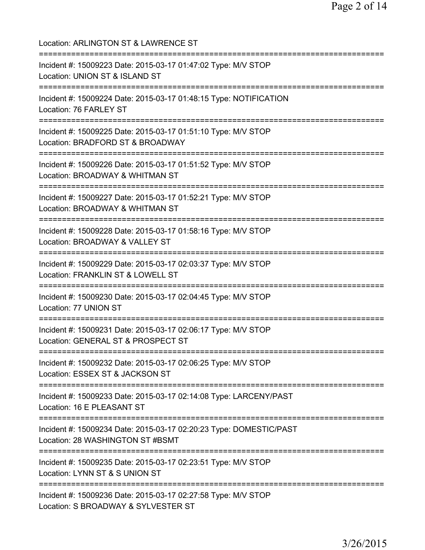Location: ARLINGTON ST & LAWRENCE ST =========================================================================== Incident #: 15009223 Date: 2015-03-17 01:47:02 Type: M/V STOP Location: UNION ST & ISLAND ST =========================================================================== Incident #: 15009224 Date: 2015-03-17 01:48:15 Type: NOTIFICATION Location: 76 FARLEY ST =========================================================================== Incident #: 15009225 Date: 2015-03-17 01:51:10 Type: M/V STOP Location: BRADFORD ST & BROADWAY =========================================================================== Incident #: 15009226 Date: 2015-03-17 01:51:52 Type: M/V STOP Location: BROADWAY & WHITMAN ST =========================================================================== Incident #: 15009227 Date: 2015-03-17 01:52:21 Type: M/V STOP Location: BROADWAY & WHITMAN ST =========================================================================== Incident #: 15009228 Date: 2015-03-17 01:58:16 Type: M/V STOP Location: BROADWAY & VALLEY ST =========================================================================== Incident #: 15009229 Date: 2015-03-17 02:03:37 Type: M/V STOP Location: FRANKLIN ST & LOWELL ST =========================================================================== Incident #: 15009230 Date: 2015-03-17 02:04:45 Type: M/V STOP Location: 77 UNION ST =========================================================================== Incident #: 15009231 Date: 2015-03-17 02:06:17 Type: M/V STOP Location: GENERAL ST & PROSPECT ST =========================================================================== Incident #: 15009232 Date: 2015-03-17 02:06:25 Type: M/V STOP Location: ESSEX ST & JACKSON ST =========================================================================== Incident #: 15009233 Date: 2015-03-17 02:14:08 Type: LARCENY/PAST Location: 16 E PLEASANT ST =========================================================================== Incident #: 15009234 Date: 2015-03-17 02:20:23 Type: DOMESTIC/PAST Location: 28 WASHINGTON ST #BSMT =========================================================================== Incident #: 15009235 Date: 2015-03-17 02:23:51 Type: M/V STOP Location: LYNN ST & S UNION ST =========================================================================== Incident #: 15009236 Date: 2015-03-17 02:27:58 Type: M/V STOP Location: S BROADWAY & SYLVESTER ST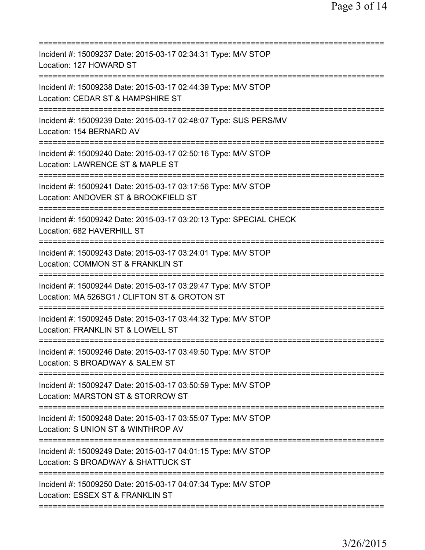| Incident #: 15009237 Date: 2015-03-17 02:34:31 Type: M/V STOP<br>Location: 127 HOWARD ST                                                    |
|---------------------------------------------------------------------------------------------------------------------------------------------|
| Incident #: 15009238 Date: 2015-03-17 02:44:39 Type: M/V STOP<br>Location: CEDAR ST & HAMPSHIRE ST<br>:=====================                |
| Incident #: 15009239 Date: 2015-03-17 02:48:07 Type: SUS PERS/MV<br>Location: 154 BERNARD AV                                                |
| Incident #: 15009240 Date: 2015-03-17 02:50:16 Type: M/V STOP<br>Location: LAWRENCE ST & MAPLE ST                                           |
| Incident #: 15009241 Date: 2015-03-17 03:17:56 Type: M/V STOP<br>Location: ANDOVER ST & BROOKFIELD ST                                       |
| Incident #: 15009242 Date: 2015-03-17 03:20:13 Type: SPECIAL CHECK<br>Location: 682 HAVERHILL ST                                            |
| Incident #: 15009243 Date: 2015-03-17 03:24:01 Type: M/V STOP<br>Location: COMMON ST & FRANKLIN ST                                          |
| Incident #: 15009244 Date: 2015-03-17 03:29:47 Type: M/V STOP<br>Location: MA 526SG1 / CLIFTON ST & GROTON ST<br>:========================= |
| Incident #: 15009245 Date: 2015-03-17 03:44:32 Type: M/V STOP<br>Location: FRANKLIN ST & LOWELL ST                                          |
| Incident #: 15009246 Date: 2015-03-17 03:49:50 Type: M/V STOP<br>Location: S BROADWAY & SALEM ST                                            |
| Incident #: 15009247 Date: 2015-03-17 03:50:59 Type: M/V STOP<br>Location: MARSTON ST & STORROW ST                                          |
| Incident #: 15009248 Date: 2015-03-17 03:55:07 Type: M/V STOP<br>Location: S UNION ST & WINTHROP AV                                         |
| Incident #: 15009249 Date: 2015-03-17 04:01:15 Type: M/V STOP<br>Location: S BROADWAY & SHATTUCK ST                                         |
| Incident #: 15009250 Date: 2015-03-17 04:07:34 Type: M/V STOP<br>Location: ESSEX ST & FRANKLIN ST                                           |
|                                                                                                                                             |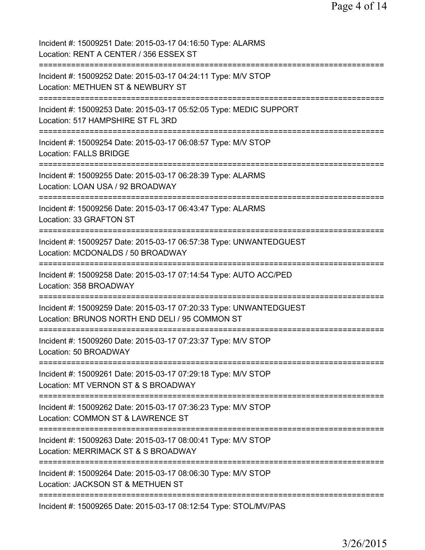| Incident #: 15009251 Date: 2015-03-17 04:16:50 Type: ALARMS<br>Location: RENT A CENTER / 356 ESSEX ST                                                           |
|-----------------------------------------------------------------------------------------------------------------------------------------------------------------|
| Incident #: 15009252 Date: 2015-03-17 04:24:11 Type: M/V STOP<br>Location: METHUEN ST & NEWBURY ST                                                              |
| Incident #: 15009253 Date: 2015-03-17 05:52:05 Type: MEDIC SUPPORT<br>Location: 517 HAMPSHIRE ST FL 3RD                                                         |
| Incident #: 15009254 Date: 2015-03-17 06:08:57 Type: M/V STOP<br><b>Location: FALLS BRIDGE</b>                                                                  |
| Incident #: 15009255 Date: 2015-03-17 06:28:39 Type: ALARMS<br>Location: LOAN USA / 92 BROADWAY                                                                 |
| Incident #: 15009256 Date: 2015-03-17 06:43:47 Type: ALARMS<br>Location: 33 GRAFTON ST                                                                          |
| Incident #: 15009257 Date: 2015-03-17 06:57:38 Type: UNWANTEDGUEST<br>Location: MCDONALDS / 50 BROADWAY                                                         |
| Incident #: 15009258 Date: 2015-03-17 07:14:54 Type: AUTO ACC/PED<br>Location: 358 BROADWAY                                                                     |
| -------------<br>Incident #: 15009259 Date: 2015-03-17 07:20:33 Type: UNWANTEDGUEST<br>Location: BRUNOS NORTH END DELI / 95 COMMON ST                           |
| Incident #: 15009260 Date: 2015-03-17 07:23:37 Type: M/V STOP<br>Location: 50 BROADWAY                                                                          |
| Incident #: 15009261 Date: 2015-03-17 07:29:18 Type: M/V STOP<br>Location: MT VERNON ST & S BROADWAY                                                            |
| Incident #: 15009262 Date: 2015-03-17 07:36:23 Type: M/V STOP<br>Location: COMMON ST & LAWRENCE ST                                                              |
| ===========================<br>Incident #: 15009263 Date: 2015-03-17 08:00:41 Type: M/V STOP<br>Location: MERRIMACK ST & S BROADWAY                             |
| ==========================<br>===========================<br>Incident #: 15009264 Date: 2015-03-17 08:06:30 Type: M/V STOP<br>Location: JACKSON ST & METHUEN ST |
| Incident #: 15009265 Date: 2015-03-17 08:12:54 Type: STOL/MV/PAS                                                                                                |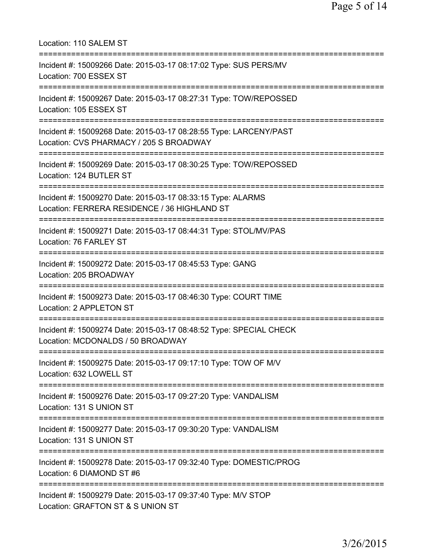Location: 110 SALEM ST =========================================================================== Incident #: 15009266 Date: 2015-03-17 08:17:02 Type: SUS PERS/MV Location: 700 ESSEX ST =========================================================================== Incident #: 15009267 Date: 2015-03-17 08:27:31 Type: TOW/REPOSSED Location: 105 ESSEX ST =========================================================================== Incident #: 15009268 Date: 2015-03-17 08:28:55 Type: LARCENY/PAST Location: CVS PHARMACY / 205 S BROADWAY =========================================================================== Incident #: 15009269 Date: 2015-03-17 08:30:25 Type: TOW/REPOSSED Location: 124 BUTLER ST =========================================================================== Incident #: 15009270 Date: 2015-03-17 08:33:15 Type: ALARMS Location: FERRERA RESIDENCE / 36 HIGHLAND ST =========================================================================== Incident #: 15009271 Date: 2015-03-17 08:44:31 Type: STOL/MV/PAS Location: 76 FARLEY ST =========================================================================== Incident #: 15009272 Date: 2015-03-17 08:45:53 Type: GANG Location: 205 BROADWAY =========================================================================== Incident #: 15009273 Date: 2015-03-17 08:46:30 Type: COURT TIME Location: 2 APPLETON ST =========================================================================== Incident #: 15009274 Date: 2015-03-17 08:48:52 Type: SPECIAL CHECK Location: MCDONALDS / 50 BROADWAY =========================================================================== Incident #: 15009275 Date: 2015-03-17 09:17:10 Type: TOW OF M/V Location: 632 LOWELL ST =========================================================================== Incident #: 15009276 Date: 2015-03-17 09:27:20 Type: VANDALISM Location: 131 S UNION ST =========================================================================== Incident #: 15009277 Date: 2015-03-17 09:30:20 Type: VANDALISM Location: 131 S UNION ST =========================================================================== Incident #: 15009278 Date: 2015-03-17 09:32:40 Type: DOMESTIC/PROG Location: 6 DIAMOND ST #6 =========================================================================== Incident #: 15009279 Date: 2015-03-17 09:37:40 Type: M/V STOP Location: GRAFTON ST & S UNION ST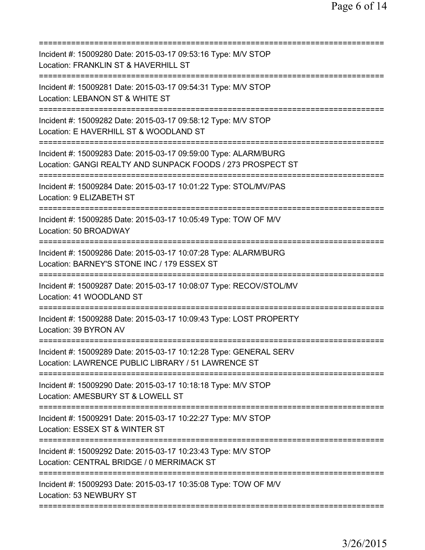| Incident #: 15009280 Date: 2015-03-17 09:53:16 Type: M/V STOP<br>Location: FRANKLIN ST & HAVERHILL ST                         |
|-------------------------------------------------------------------------------------------------------------------------------|
| Incident #: 15009281 Date: 2015-03-17 09:54:31 Type: M/V STOP<br>Location: LEBANON ST & WHITE ST                              |
| Incident #: 15009282 Date: 2015-03-17 09:58:12 Type: M/V STOP<br>Location: E HAVERHILL ST & WOODLAND ST                       |
| Incident #: 15009283 Date: 2015-03-17 09:59:00 Type: ALARM/BURG<br>Location: GANGI REALTY AND SUNPACK FOODS / 273 PROSPECT ST |
| Incident #: 15009284 Date: 2015-03-17 10:01:22 Type: STOL/MV/PAS<br>Location: 9 ELIZABETH ST                                  |
| Incident #: 15009285 Date: 2015-03-17 10:05:49 Type: TOW OF M/V<br>Location: 50 BROADWAY                                      |
| Incident #: 15009286 Date: 2015-03-17 10:07:28 Type: ALARM/BURG<br>Location: BARNEY'S STONE INC / 179 ESSEX ST                |
| Incident #: 15009287 Date: 2015-03-17 10:08:07 Type: RECOV/STOL/MV<br>Location: 41 WOODLAND ST                                |
| Incident #: 15009288 Date: 2015-03-17 10:09:43 Type: LOST PROPERTY<br>Location: 39 BYRON AV                                   |
| Incident #: 15009289 Date: 2015-03-17 10:12:28 Type: GENERAL SERV<br>Location: LAWRENCE PUBLIC LIBRARY / 51 LAWRENCE ST       |
| Incident #: 15009290 Date: 2015-03-17 10:18:18 Type: M/V STOP<br>Location: AMESBURY ST & LOWELL ST                            |
| Incident #: 15009291 Date: 2015-03-17 10:22:27 Type: M/V STOP<br>Location: ESSEX ST & WINTER ST                               |
| Incident #: 15009292 Date: 2015-03-17 10:23:43 Type: M/V STOP<br>Location: CENTRAL BRIDGE / 0 MERRIMACK ST                    |
| Incident #: 15009293 Date: 2015-03-17 10:35:08 Type: TOW OF M/V<br>Location: 53 NEWBURY ST                                    |
|                                                                                                                               |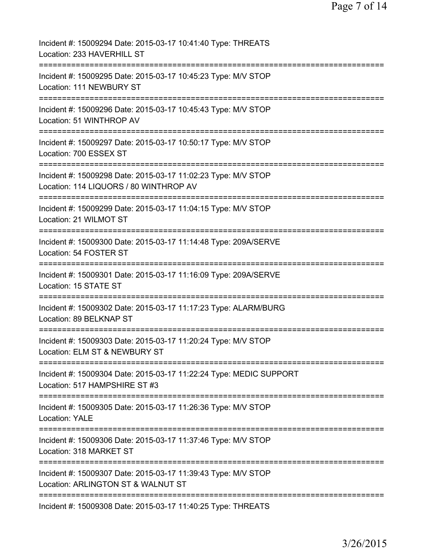| Incident #: 15009294 Date: 2015-03-17 10:41:40 Type: THREATS<br>Location: 233 HAVERHILL ST              |
|---------------------------------------------------------------------------------------------------------|
| Incident #: 15009295 Date: 2015-03-17 10:45:23 Type: M/V STOP<br>Location: 111 NEWBURY ST               |
| Incident #: 15009296 Date: 2015-03-17 10:45:43 Type: M/V STOP<br>Location: 51 WINTHROP AV               |
| Incident #: 15009297 Date: 2015-03-17 10:50:17 Type: M/V STOP<br>Location: 700 ESSEX ST                 |
| Incident #: 15009298 Date: 2015-03-17 11:02:23 Type: M/V STOP<br>Location: 114 LIQUORS / 80 WINTHROP AV |
| Incident #: 15009299 Date: 2015-03-17 11:04:15 Type: M/V STOP<br>Location: 21 WILMOT ST                 |
| Incident #: 15009300 Date: 2015-03-17 11:14:48 Type: 209A/SERVE<br>Location: 54 FOSTER ST               |
| Incident #: 15009301 Date: 2015-03-17 11:16:09 Type: 209A/SERVE<br>Location: 15 STATE ST                |
| Incident #: 15009302 Date: 2015-03-17 11:17:23 Type: ALARM/BURG<br>Location: 89 BELKNAP ST              |
| Incident #: 15009303 Date: 2015-03-17 11:20:24 Type: M/V STOP<br>Location: ELM ST & NEWBURY ST          |
| Incident #: 15009304 Date: 2015-03-17 11:22:24 Type: MEDIC SUPPORT<br>Location: 517 HAMPSHIRE ST #3     |
| Incident #: 15009305 Date: 2015-03-17 11:26:36 Type: M/V STOP<br><b>Location: YALE</b>                  |
| Incident #: 15009306 Date: 2015-03-17 11:37:46 Type: M/V STOP<br>Location: 318 MARKET ST                |
| Incident #: 15009307 Date: 2015-03-17 11:39:43 Type: M/V STOP<br>Location: ARLINGTON ST & WALNUT ST     |
| Incident #: 15009308 Date: 2015-03-17 11:40:25 Type: THREATS                                            |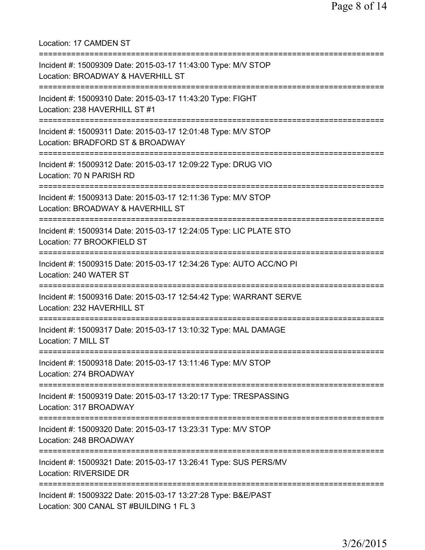Location: 17 CAMDEN ST =========================================================================== Incident #: 15009309 Date: 2015-03-17 11:43:00 Type: M/V STOP Location: BROADWAY & HAVERHILL ST =========================================================================== Incident #: 15009310 Date: 2015-03-17 11:43:20 Type: FIGHT Location: 238 HAVERHILL ST #1 =========================================================================== Incident #: 15009311 Date: 2015-03-17 12:01:48 Type: M/V STOP Location: BRADFORD ST & BROADWAY =========================================================================== Incident #: 15009312 Date: 2015-03-17 12:09:22 Type: DRUG VIO Location: 70 N PARISH RD =========================================================================== Incident #: 15009313 Date: 2015-03-17 12:11:36 Type: M/V STOP Location: BROADWAY & HAVERHILL ST =========================================================================== Incident #: 15009314 Date: 2015-03-17 12:24:05 Type: LIC PLATE STO Location: 77 BROOKFIELD ST =========================================================================== Incident #: 15009315 Date: 2015-03-17 12:34:26 Type: AUTO ACC/NO PI Location: 240 WATER ST =========================================================================== Incident #: 15009316 Date: 2015-03-17 12:54:42 Type: WARRANT SERVE Location: 232 HAVERHILL ST =========================================================================== Incident #: 15009317 Date: 2015-03-17 13:10:32 Type: MAL DAMAGE Location: 7 MILL ST =========================================================================== Incident #: 15009318 Date: 2015-03-17 13:11:46 Type: M/V STOP Location: 274 BROADWAY =========================================================================== Incident #: 15009319 Date: 2015-03-17 13:20:17 Type: TRESPASSING Location: 317 BROADWAY =========================================================================== Incident #: 15009320 Date: 2015-03-17 13:23:31 Type: M/V STOP Location: 248 BROADWAY =========================================================================== Incident #: 15009321 Date: 2015-03-17 13:26:41 Type: SUS PERS/MV Location: RIVERSIDE DR =========================================================================== Incident #: 15009322 Date: 2015-03-17 13:27:28 Type: B&E/PAST Location: 300 CANAL ST #BUILDING 1 FL 3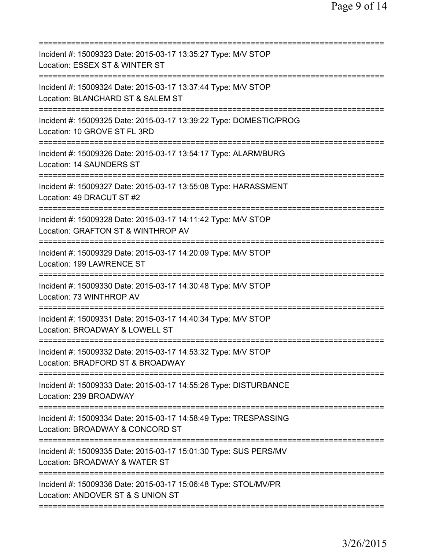| Incident #: 15009323 Date: 2015-03-17 13:35:27 Type: M/V STOP<br>Location: ESSEX ST & WINTER ST                                       |
|---------------------------------------------------------------------------------------------------------------------------------------|
| Incident #: 15009324 Date: 2015-03-17 13:37:44 Type: M/V STOP<br>Location: BLANCHARD ST & SALEM ST                                    |
| Incident #: 15009325 Date: 2015-03-17 13:39:22 Type: DOMESTIC/PROG<br>Location: 10 GROVE ST FL 3RD                                    |
| Incident #: 15009326 Date: 2015-03-17 13:54:17 Type: ALARM/BURG<br>Location: 14 SAUNDERS ST                                           |
| Incident #: 15009327 Date: 2015-03-17 13:55:08 Type: HARASSMENT<br>Location: 49 DRACUT ST #2                                          |
| Incident #: 15009328 Date: 2015-03-17 14:11:42 Type: M/V STOP<br>Location: GRAFTON ST & WINTHROP AV                                   |
| Incident #: 15009329 Date: 2015-03-17 14:20:09 Type: M/V STOP<br>Location: 199 LAWRENCE ST                                            |
| Incident #: 15009330 Date: 2015-03-17 14:30:48 Type: M/V STOP<br>Location: 73 WINTHROP AV<br>;==================================      |
| Incident #: 15009331 Date: 2015-03-17 14:40:34 Type: M/V STOP<br>Location: BROADWAY & LOWELL ST                                       |
| Incident #: 15009332 Date: 2015-03-17 14:53:32 Type: M/V STOP<br>Location: BRADFORD ST & BROADWAY<br>================================ |
| Incident #: 15009333 Date: 2015-03-17 14:55:26 Type: DISTURBANCE<br>Location: 239 BROADWAY                                            |
| Incident #: 15009334 Date: 2015-03-17 14:58:49 Type: TRESPASSING<br>Location: BROADWAY & CONCORD ST                                   |
| Incident #: 15009335 Date: 2015-03-17 15:01:30 Type: SUS PERS/MV<br>Location: BROADWAY & WATER ST                                     |
| Incident #: 15009336 Date: 2015-03-17 15:06:48 Type: STOL/MV/PR<br>Location: ANDOVER ST & S UNION ST                                  |
|                                                                                                                                       |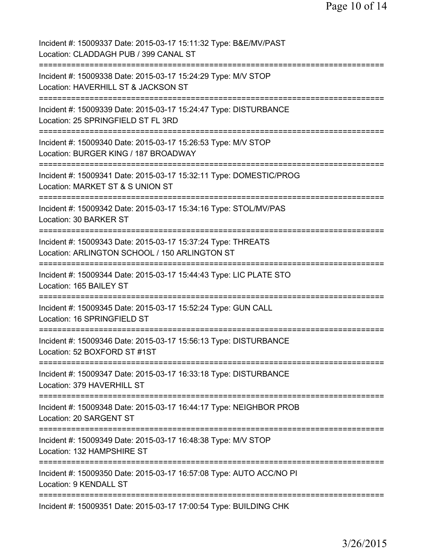Incident #: 15009337 Date: 2015-03-17 15:11:32 Type: B&E/MV/PAST Location: CLADDAGH PUB / 399 CANAL ST =========================================================================== Incident #: 15009338 Date: 2015-03-17 15:24:29 Type: M/V STOP Location: HAVERHILL ST & JACKSON ST =========================================================================== Incident #: 15009339 Date: 2015-03-17 15:24:47 Type: DISTURBANCE Location: 25 SPRINGFIELD ST FL 3RD =========================================================================== Incident #: 15009340 Date: 2015-03-17 15:26:53 Type: M/V STOP Location: BURGER KING / 187 BROADWAY =========================================================================== Incident #: 15009341 Date: 2015-03-17 15:32:11 Type: DOMESTIC/PROG Location: MARKET ST & S UNION ST =========================================================================== Incident #: 15009342 Date: 2015-03-17 15:34:16 Type: STOL/MV/PAS Location: 30 BARKER ST =========================================================================== Incident #: 15009343 Date: 2015-03-17 15:37:24 Type: THREATS Location: ARLINGTON SCHOOL / 150 ARLINGTON ST =========================================================================== Incident #: 15009344 Date: 2015-03-17 15:44:43 Type: LIC PLATE STO Location: 165 BAILEY ST =========================================================================== Incident #: 15009345 Date: 2015-03-17 15:52:24 Type: GUN CALL Location: 16 SPRINGFIELD ST =========================================================================== Incident #: 15009346 Date: 2015-03-17 15:56:13 Type: DISTURBANCE Location: 52 BOXFORD ST #1ST =========================================================================== Incident #: 15009347 Date: 2015-03-17 16:33:18 Type: DISTURBANCE Location: 379 HAVERHILL ST =========================================================================== Incident #: 15009348 Date: 2015-03-17 16:44:17 Type: NEIGHBOR PROB Location: 20 SARGENT ST =========================================================================== Incident #: 15009349 Date: 2015-03-17 16:48:38 Type: M/V STOP Location: 132 HAMPSHIRE ST =========================================================================== Incident #: 15009350 Date: 2015-03-17 16:57:08 Type: AUTO ACC/NO PI Location: 9 KENDALL ST =========================================================================== Incident #: 15009351 Date: 2015-03-17 17:00:54 Type: BUILDING CHK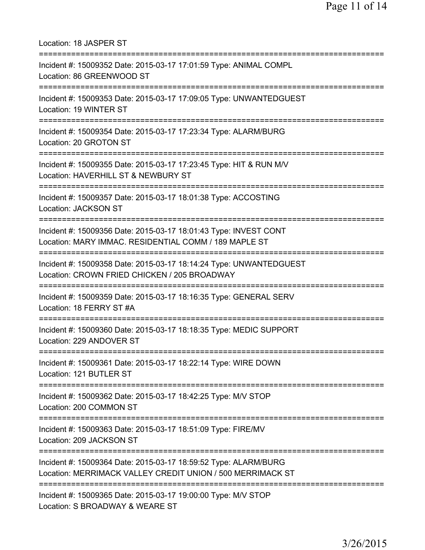Location: 18 JASPER ST =========================================================================== Incident #: 15009352 Date: 2015-03-17 17:01:59 Type: ANIMAL COMPL Location: 86 GREENWOOD ST =========================================================================== Incident #: 15009353 Date: 2015-03-17 17:09:05 Type: UNWANTEDGUEST Location: 19 WINTER ST =========================================================================== Incident #: 15009354 Date: 2015-03-17 17:23:34 Type: ALARM/BURG Location: 20 GROTON ST =========================================================================== Incident #: 15009355 Date: 2015-03-17 17:23:45 Type: HIT & RUN M/V Location: HAVERHILL ST & NEWBURY ST =========================================================================== Incident #: 15009357 Date: 2015-03-17 18:01:38 Type: ACCOSTING Location: JACKSON ST =========================================================================== Incident #: 15009356 Date: 2015-03-17 18:01:43 Type: INVEST CONT Location: MARY IMMAC. RESIDENTIAL COMM / 189 MAPLE ST =========================================================================== Incident #: 15009358 Date: 2015-03-17 18:14:24 Type: UNWANTEDGUEST Location: CROWN FRIED CHICKEN / 205 BROADWAY =========================================================================== Incident #: 15009359 Date: 2015-03-17 18:16:35 Type: GENERAL SERV Location: 18 FERRY ST #A =========================================================================== Incident #: 15009360 Date: 2015-03-17 18:18:35 Type: MEDIC SUPPORT Location: 229 ANDOVER ST =========================================================================== Incident #: 15009361 Date: 2015-03-17 18:22:14 Type: WIRE DOWN Location: 121 BUTLER ST =========================================================================== Incident #: 15009362 Date: 2015-03-17 18:42:25 Type: M/V STOP Location: 200 COMMON ST =========================================================================== Incident #: 15009363 Date: 2015-03-17 18:51:09 Type: FIRE/MV Location: 209 JACKSON ST =========================================================================== Incident #: 15009364 Date: 2015-03-17 18:59:52 Type: ALARM/BURG Location: MERRIMACK VALLEY CREDIT UNION / 500 MERRIMACK ST =========================================================================== Incident #: 15009365 Date: 2015-03-17 19:00:00 Type: M/V STOP Location: S BROADWAY & WEARE ST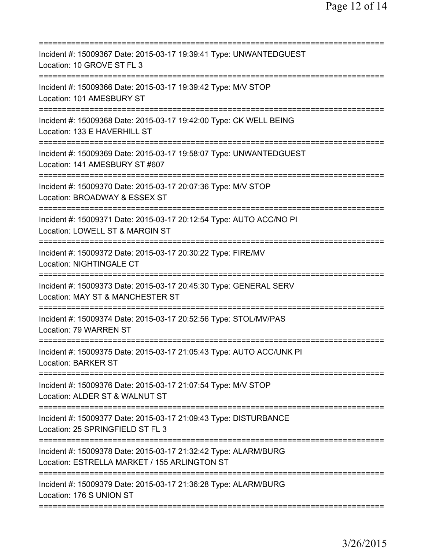| Incident #: 15009367 Date: 2015-03-17 19:39:41 Type: UNWANTEDGUEST<br>Location: 10 GROVE ST FL 3                                    |
|-------------------------------------------------------------------------------------------------------------------------------------|
| Incident #: 15009366 Date: 2015-03-17 19:39:42 Type: M/V STOP<br>Location: 101 AMESBURY ST                                          |
| Incident #: 15009368 Date: 2015-03-17 19:42:00 Type: CK WELL BEING<br>Location: 133 E HAVERHILL ST                                  |
| Incident #: 15009369 Date: 2015-03-17 19:58:07 Type: UNWANTEDGUEST<br>Location: 141 AMESBURY ST #607                                |
| Incident #: 15009370 Date: 2015-03-17 20:07:36 Type: M/V STOP<br>Location: BROADWAY & ESSEX ST                                      |
| Incident #: 15009371 Date: 2015-03-17 20:12:54 Type: AUTO ACC/NO PI<br>Location: LOWELL ST & MARGIN ST<br>========================= |
| Incident #: 15009372 Date: 2015-03-17 20:30:22 Type: FIRE/MV<br><b>Location: NIGHTINGALE CT</b>                                     |
| Incident #: 15009373 Date: 2015-03-17 20:45:30 Type: GENERAL SERV<br>Location: MAY ST & MANCHESTER ST                               |
| Incident #: 15009374 Date: 2015-03-17 20:52:56 Type: STOL/MV/PAS<br>Location: 79 WARREN ST<br>===================                   |
| Incident #: 15009375 Date: 2015-03-17 21:05:43 Type: AUTO ACC/UNK PI<br><b>Location: BARKER ST</b>                                  |
| Incident #: 15009376 Date: 2015-03-17 21:07:54 Type: M/V STOP<br>Location: ALDER ST & WALNUT ST                                     |
| Incident #: 15009377 Date: 2015-03-17 21:09:43 Type: DISTURBANCE<br>Location: 25 SPRINGFIELD ST FL 3                                |
| Incident #: 15009378 Date: 2015-03-17 21:32:42 Type: ALARM/BURG<br>Location: ESTRELLA MARKET / 155 ARLINGTON ST                     |
| Incident #: 15009379 Date: 2015-03-17 21:36:28 Type: ALARM/BURG<br>Location: 176 S UNION ST                                         |
|                                                                                                                                     |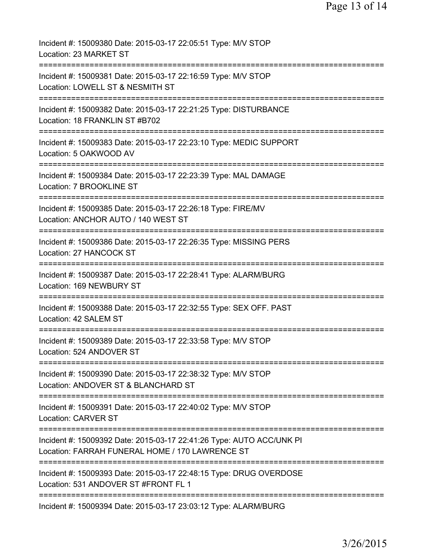| Incident #: 15009380 Date: 2015-03-17 22:05:51 Type: M/V STOP<br>Location: 23 MARKET ST                                             |
|-------------------------------------------------------------------------------------------------------------------------------------|
| Incident #: 15009381 Date: 2015-03-17 22:16:59 Type: M/V STOP<br>Location: LOWELL ST & NESMITH ST                                   |
| Incident #: 15009382 Date: 2015-03-17 22:21:25 Type: DISTURBANCE<br>Location: 18 FRANKLIN ST #B702                                  |
| Incident #: 15009383 Date: 2015-03-17 22:23:10 Type: MEDIC SUPPORT<br>Location: 5 OAKWOOD AV                                        |
| Incident #: 15009384 Date: 2015-03-17 22:23:39 Type: MAL DAMAGE<br>Location: 7 BROOKLINE ST                                         |
| Incident #: 15009385 Date: 2015-03-17 22:26:18 Type: FIRE/MV<br>Location: ANCHOR AUTO / 140 WEST ST<br>:=========================== |
| Incident #: 15009386 Date: 2015-03-17 22:26:35 Type: MISSING PERS<br>Location: 27 HANCOCK ST                                        |
| Incident #: 15009387 Date: 2015-03-17 22:28:41 Type: ALARM/BURG<br>Location: 169 NEWBURY ST                                         |
| Incident #: 15009388 Date: 2015-03-17 22:32:55 Type: SEX OFF. PAST<br>Location: 42 SALEM ST                                         |
| Incident #: 15009389 Date: 2015-03-17 22:33:58 Type: M/V STOP<br>Location: 524 ANDOVER ST                                           |
| Incident #: 15009390 Date: 2015-03-17 22:38:32 Type: M/V STOP<br>Location: ANDOVER ST & BLANCHARD ST                                |
| Incident #: 15009391 Date: 2015-03-17 22:40:02 Type: M/V STOP<br><b>Location: CARVER ST</b>                                         |
| Incident #: 15009392 Date: 2015-03-17 22:41:26 Type: AUTO ACC/UNK PI<br>Location: FARRAH FUNERAL HOME / 170 LAWRENCE ST             |
| Incident #: 15009393 Date: 2015-03-17 22:48:15 Type: DRUG OVERDOSE<br>Location: 531 ANDOVER ST #FRONT FL 1                          |
| Incident #: 15009394 Date: 2015-03-17 23:03:12 Type: ALARM/BURG                                                                     |